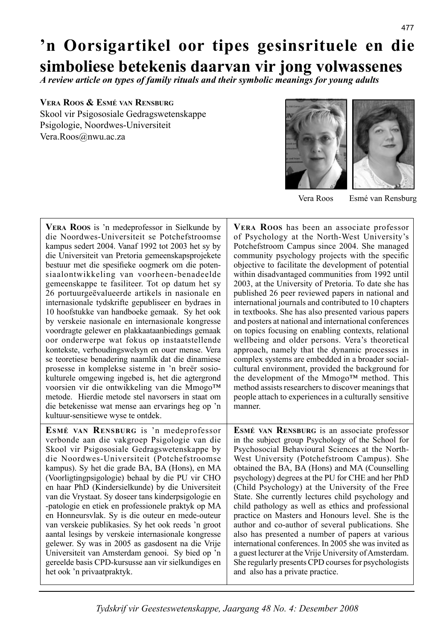# **'n Oorsigartikel oor tipes gesinsrituele en die simboliese betekenis daarvan vir jong volwassenes**

*A review article on types of family rituals and their symbolic meanings for young adults*

### **VERA ROOS & ESMÉ VAN RENSBURG** Skool vir Psigososiale Gedragswetenskappe Psigologie, Noordwes-Universiteit Vera.Roos@nwu.ac.za





Vera Roos Esmé van Rensburg

| <b>VERA ROOS</b> is 'n medeprofessor in Sielkunde by                                                                                         | <b>VERA ROOS</b> has been an associate professor                  |
|----------------------------------------------------------------------------------------------------------------------------------------------|-------------------------------------------------------------------|
| die Noordwes-Universiteit se Potchefstroomse                                                                                                 | of Psychology at the North-West University's                      |
| kampus sedert 2004. Vanaf 1992 tot 2003 het sy by                                                                                            | Potchefstroom Campus since 2004. She managed                      |
| die Universiteit van Pretoria gemeenskapsprojekete                                                                                           | community psychology projects with the specific                   |
| bestuur met die spesifieke oogmerk om die poten-                                                                                             | objective to facilitate the development of potential              |
| siaalontwikkeling van voorheen-benadeelde                                                                                                    | within disadvantaged communities from 1992 until                  |
| gemeenskappe te fasiliteer. Tot op datum het sy                                                                                              | 2003, at the University of Pretoria. To date she has              |
| 26 portuurgeëvalueerde artikels in nasionale en                                                                                              | published 26 peer reviewed papers in national and                 |
| internasionale tydskrifte gepubliseer en bydraes in                                                                                          | international journals and contributed to 10 chapters             |
| 10 hoofstukke van handboeke gemaak. Sy het ook                                                                                               | in textbooks. She has also presented various papers               |
| by verskeie nasionale en internasionale kongresse                                                                                            | and posters at national and international conferences             |
| voordragte gelewer en plakkaataanbiedings gemaak                                                                                             | on topics focusing on enabling contexts, relational               |
| oor onderwerpe wat fokus op instaatstellende                                                                                                 | wellbeing and older persons. Vera's theoretical                   |
| kontekste, verhoudingswelsyn en ouer mense. Vera                                                                                             | approach, namely that the dynamic processes in                    |
| se teoretiese benadering naamlik dat die dinamiese                                                                                           | complex systems are embedded in a broader social-                 |
| prosesse in komplekse sisteme in 'n breër sosio-                                                                                             | cultural environment, provided the background for                 |
| kulturele omgewing ingebed is, het die agtergrond                                                                                            | the development of the Mmogo <sup>TM</sup> method. This           |
| voorsien vir die ontwikkeling van die Mmogo™                                                                                                 | method assists researchers to discover meanings that              |
| metode. Hierdie metode stel navorsers in staat om<br>die betekenisse wat mense aan ervarings heg op 'n<br>kultuur-sensitiewe wyse te ontdek. | people attach to experiences in a culturally sensitive<br>manner. |
| ESMÉ VAN RENSBURG is 'n medeprofessor                                                                                                        | ESMÉ VAN RENSBURG is an associate professor                       |
| verbonde aan die vakgroep Psigologie van die                                                                                                 | in the subject group Psychology of the School for                 |
| Skool vir Psigososiale Gedragswetenskappe by                                                                                                 | Psychosocial Behavioural Sciences at the North-                   |
| die Noordwes-Universiteit (Potchefstroomse                                                                                                   | West University (Potchefstroom Campus). She                       |
| kampus). Sy het die grade BA, BA (Hons), en MA                                                                                               | obtained the BA, BA (Hons) and MA (Counselling                    |
| (Voorligtingpsigologie) behaal by die PU vir CHO                                                                                             | psychology) degrees at the PU for CHE and her PhD                 |
| en haar PhD (Kindersielkunde) by die Universiteit                                                                                            | (Child Psychology) at the University of the Free                  |
| van die Vrystaat. Sy doseer tans kinderpsigologie en                                                                                         | State. She currently lectures child psychology and                |
| -patologie en etiek en professionele praktyk op MA                                                                                           | child pathology as well as ethics and professional                |
| en Honneursvlak. Sy is die outeur en mede-outeur                                                                                             | practice on Masters and Honours level. She is the                 |
| van verskeie publikasies. Sy het ook reeds 'n groot                                                                                          | author and co-author of several publications. She                 |
| aantal lesings by verskeie internasionale kongresse                                                                                          | also has presented a number of papers at various                  |
| gelewer. Sy was in 2005 as gasdosent na die Vrije                                                                                            | international conferences. In 2005 she was invited as             |
| Universiteit van Amsterdam genooi. Sy bied op 'n                                                                                             | a guest lecturer at the Vrije University of Amsterdam.            |
| gereelde basis CPD-kursusse aan vir sielkundiges en                                                                                          | She regularly presents CPD courses for psychologists              |
| het ook 'n privaatpraktyk.                                                                                                                   | and also has a private practice.                                  |

*Tydskrif vir Geesteswetenskappe, Jaargang 48 No. 4: Desember 2008*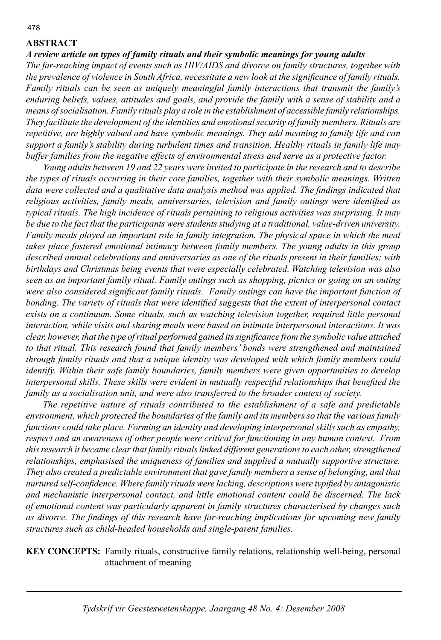# **ABSTRACT**

*A review article on types of family rituals and their symbolic meanings for young adults*

*The far-reaching impact of events such as HIV/AIDS and divorce on family structures, together with the prevalence of violence in South Africa, necessitate a new look at the significance of family rituals. Family rituals can be seen as uniquely meaningful family interactions that transmit the family's enduring beliefs, values, attitudes and goals, and provide the family with a sense of stability and a means of socialisation. Family rituals play a role in the establishment of accessible family relationships. They facilitate the development of the identities and emotional security of family members. Rituals are repetitive, are highly valued and have symbolic meanings. They add meaning to family life and can support a family's stability during turbulent times and transition. Healthy rituals in family life may buffer families from the negative effects of environmental stress and serve as a protective factor.* 

 *Young adults between 19 and 22 years were invited to participate in the research and to describe the types of rituals occurring in their core families, together with their symbolic meanings. Written*  data were collected and a qualitative data analysis method was applied. The findings indicated that *religious activities, family meals, anniversaries, television and family outings were identified as typical rituals. The high incidence of rituals pertaining to religious activities was surprising. It may be due to the fact that the participants were students studying at a traditional, value-driven university. Family meals played an important role in family integration. The physical space in which the meal* takes place fostered emotional intimacy between family members. The young adults in this group *described annual celebrations and anniversaries as one of the rituals present in their families; with birthdays and Christmas being events that were especially celebrated. Watching television was also seen as an important family ritual. Family outings such as shopping, picnics or going on an outing*  were also considered significant family rituals. Family outings can have the important function of *bonding. The variety of rituals that were identified suggests that the extent of interpersonal contact exists on a continuum. Some rituals, such as watching television together, required little personal interaction, while visits and sharing meals were based on intimate interpersonal interactions. It was clear, however, that the type of ritual performed gained its significance from the symbolic value attached* to that ritual. This research found that family members' bonds were strengthened and maintained *through family rituals and that a unique identity was developed with which family members could identify. Within their safe family boundaries, family members were given opportunities to develop interpersonal skills. These skills were evident in mutually respectful relationships that benefited the family as a socialisation unit, and were also transferred to the broader context of society.* 

 *The repetitive nature of rituals contributed to the establishment of a safe and predictable environment, which protected the boundaries of the family and its members so that the various family functions could take place. Forming an identity and developing interpersonal skills such as empathy, respect and an awareness of other people were critical for functioning in any human context. From this research it became clear that family rituals linked different generations to each other, strengthened relationships, emphasised the uniqueness of families and supplied a mutually supportive structure. They also created a predictable environment that gave family members a sense of belonging, and that nurtured self-confidence. Where family rituals were lacking, descriptions were typified by antagonistic and mechanistic interpersonal contact, and little emotional content could be discerned. The lack of emotional content was particularly apparent in family structures characterised by changes such*  as divorce. The findings of this research have far-reaching implications for upcoming new family *structures such as child-headed households and single-parent families.* 

**KEY CONCEPTS:** Family rituals, constructive family relations, relationship well-being, personal attachment of meaning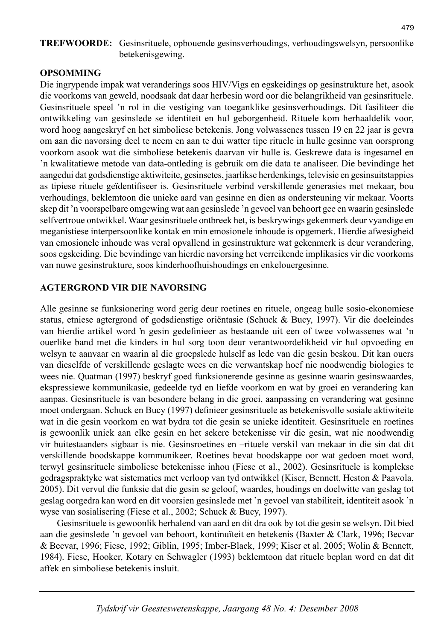# **TREFWOORDE:** Gesinsrituele, opbouende gesinsverhoudings, verhoudingswelsyn, persoonlike betekenisgewing.

# **OPSOMMING**

Die ingrypende impak wat veranderings soos HIV/Vigs en egskeidings op gesinstrukture het, asook die voorkoms van geweld, noodsaak dat daar herbesin word oor die belangrikheid van gesinsrituele. Gesinsrituele speel 'n rol in die vestiging van toeganklike gesinsverhoudings. Dit fasiliteer die ontwikkeling van gesinslede se identiteit en hul geborgenheid. Rituele kom herhaaldelik voor, word hoog aangeskryf en het simboliese betekenis. Jong volwassenes tussen 19 en 22 jaar is gevra om aan die navorsing deel te neem en aan te dui watter tipe rituele in hulle gesinne van oorsprong voorkom asook wat die simboliese betekenis daarvan vir hulle is. Geskrewe data is ingesamel en 'n kwalitatiewe metode van data-ontleding is gebruik om die data te analiseer. Die bevindinge het aangedui dat godsdienstige aktiwiteite, gesinsetes, jaarlikse herdenkings, televisie en gesinsuitstappies as tipiese rituele geïdentifiseer is. Gesinsrituele verbind verskillende generasies met mekaar, bou verhoudings, beklemtoon die unieke aard van gesinne en dien as ondersteuning vir mekaar. Voorts skep dit 'n voorspelbare omgewing wat aan gesinslede 'n gevoel van behoort gee en waarin gesinslede selfvertroue ontwikkel. Waar gesinsrituele ontbreek het, is beskrywings gekenmerk deur vyandige en meganistiese interpersoonlike kontak en min emosionele inhoude is opgemerk. Hierdie afwesigheid van emosionele inhoude was veral opvallend in gesinstrukture wat gekenmerk is deur verandering, soos egskeiding. Die bevindinge van hierdie navorsing het verreikende implikasies vir die voorkoms van nuwe gesinstrukture, soos kinderhoofhuishoudings en enkelouergesinne.

# **AGTERGROND VIR DIE NAVORSING**

Alle gesinne se funksionering word gerig deur roetines en rituele, ongeag hulle sosio-ekonomiese status, etniese agtergrond of godsdienstige oriëntasie (Schuck & Bucy, 1997). Vir die doeleindes van hierdie artikel word 'n gesin gedefinieer as bestaande uit een of twee volwassenes wat 'n ouerlike band met die kinders in hul sorg toon deur verantwoordelikheid vir hul opvoeding en welsyn te aanvaar en waarin al die groepslede hulself as lede van die gesin beskou. Dit kan ouers van dieselfde of verskillende geslagte wees en die verwantskap hoef nie noodwendig biologies te wees nie. Quatman (1997) beskryf goed funksionerende gesinne as gesinne waarin gesinswaardes, ekspressiewe kommunikasie, gedeelde tyd en liefde voorkom en wat by groei en verandering kan aanpas. Gesinsrituele is van besondere belang in die groei, aanpassing en verandering wat gesinne moet ondergaan. Schuck en Bucy (1997) definieer gesinsrituele as betekenisvolle sosiale aktiwiteite wat in die gesin voorkom en wat bydra tot die gesin se unieke identiteit. Gesinsrituele en roetines is gewoonlik uniek aan elke gesin en het sekere betekenisse vir die gesin, wat nie noodwendig vir buitestaanders sigbaar is nie. Gesinsroetines en –rituele verskil van mekaar in die sin dat dit verskillende boodskappe kommunikeer. Roetines bevat boodskappe oor wat gedoen moet word, terwyl gesinsrituele simboliese betekenisse inhou (Fiese et al., 2002). Gesinsrituele is komplekse gedragspraktyke wat sistematies met verloop van tyd ontwikkel (Kiser, Bennett, Heston & Paavola, 2005). Dit vervul die funksie dat die gesin se geloof, waardes, houdings en doelwitte van geslag tot geslag oorgedra kan word en dit voorsien gesinslede met 'n gevoel van stabiliteit, identiteit asook 'n wyse van sosialisering (Fiese et al., 2002; Schuck & Bucy, 1997).

 Gesinsrituele is gewoonlik herhalend van aard en dit dra ook by tot die gesin se welsyn. Dit bied aan die gesinslede 'n gevoel van behoort, kontinuïteit en betekenis (Baxter & Clark, 1996; Becvar & Becvar, 1996; Fiese, 1992; Giblin, 1995; Imber-Black, 1999; Kiser et al. 2005; Wolin & Bennett, 1984). Fiese, Hooker, Kotary en Schwagler (1993) beklemtoon dat rituele beplan word en dat dit affek en simboliese betekenis insluit.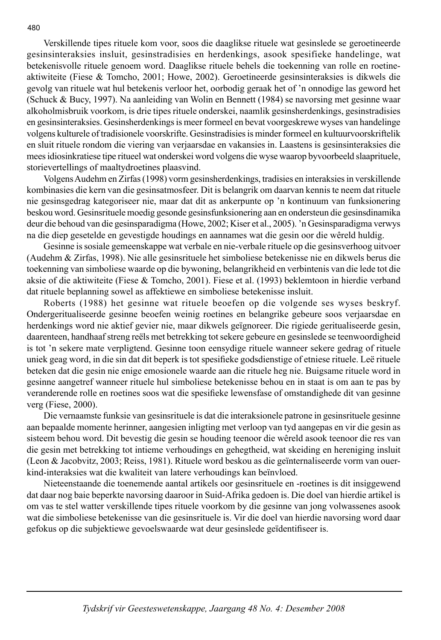Verskillende tipes rituele kom voor, soos die daaglikse rituele wat gesinslede se geroetineerde gesinsinteraksies insluit, gesinstradisies en herdenkings, asook spesifieke handelinge, wat betekenisvolle rituele genoem word. Daaglikse rituele behels die toekenning van rolle en roetineaktiwiteite (Fiese & Tomcho, 2001; Howe, 2002). Geroetineerde gesinsinteraksies is dikwels die gevolg van rituele wat hul betekenis verloor het, oorbodig geraak het of 'n onnodige las geword het (Schuck & Bucy, 1997). Na aanleiding van Wolin en Bennett (1984) se navorsing met gesinne waar alkoholmisbruik voorkom, is drie tipes rituele onderskei, naamlik gesinsherdenkings, gesinstradisies en gesinsinteraksies. Gesinsherdenkings is meer formeel en bevat voorgeskrewe wyses van handelinge volgens kulturele of tradisionele voorskrifte. Gesinstradisies is minder formeel en kultuurvoorskriftelik en sluit rituele rondom die viering van verjaarsdae en vakansies in. Laastens is gesinsinteraksies die mees idiosinkratiese tipe ritueel wat onderskei word volgens die wyse waarop byvoorbeeld slaaprituele, storievertellings of maaltydroetines plaasvind.

 Volgens Audehm en Zirfas (1998) vorm gesinsherdenkings, tradisies en interaksies in verskillende kombinasies die kern van die gesinsatmosfeer. Dit is belangrik om daarvan kennis te neem dat rituele nie gesinsgedrag kategoriseer nie, maar dat dit as ankerpunte op 'n kontinuum van funksionering beskou word. Gesinsrituele moedig gesonde gesinsfunksionering aan en ondersteun die gesinsdinamika deur die behoud van die gesinsparadigma (Howe, 2002; Kiser et al., 2005). 'n Gesinsparadigma verwys na die diep gesetelde en gevestigde houdings en aannames wat die gesin oor die wêreld huldig.

 Gesinne is sosiale gemeenskappe wat verbale en nie-verbale rituele op die gesinsverhoog uitvoer (Audehm & Zirfas, 1998). Nie alle gesinsrituele het simboliese betekenisse nie en dikwels berus die toekenning van simboliese waarde op die bywoning, belangrikheid en verbintenis van die lede tot die aksie of die aktiwiteite (Fiese & Tomcho, 2001). Fiese et al. (1993) beklemtoon in hierdie verband dat rituele beplanning sowel as affektiewe en simboliese betekenisse insluit.

 Roberts (1988) het gesinne wat rituele beoefen op die volgende ses wyses beskryf. Ondergeritualiseerde gesinne beoefen weinig roetines en belangrike gebeure soos verjaarsdae en herdenkings word nie aktief gevier nie, maar dikwels geïgnoreer. Die rigiede geritualiseerde gesin, daarenteen, handhaaf streng reëls met betrekking tot sekere gebeure en gesinslede se teenwoordigheid is tot 'n sekere mate verpligtend. Gesinne toon eensydige rituele wanneer sekere gedrag of rituele uniek geag word, in die sin dat dit beperk is tot spesifieke godsdienstige of etniese rituele. Leë rituele beteken dat die gesin nie enige emosionele waarde aan die rituele heg nie. Buigsame rituele word in gesinne aangetref wanneer rituele hul simboliese betekenisse behou en in staat is om aan te pas by veranderende rolle en roetines soos wat die spesifieke lewensfase of omstandighede dit van gesinne verg (Fiese, 2000).

 Die vernaamste funksie van gesinsrituele is dat die interaksionele patrone in gesinsrituele gesinne aan bepaalde momente herinner, aangesien inligting met verloop van tyd aangepas en vir die gesin as sisteem behou word. Dit bevestig die gesin se houding teenoor die wêreld asook teenoor die res van die gesin met betrekking tot intieme verhoudings en gehegtheid, wat skeiding en hereniging insluit (Leon & Jacobvitz, 2003; Reiss, 1981). Rituele word beskou as die geïnternaliseerde vorm van ouerkind-interaksies wat die kwaliteit van latere verhoudings kan beïnvloed.

 Nieteenstaande die toenemende aantal artikels oor gesinsrituele en -roetines is dit insiggewend dat daar nog baie beperkte navorsing daaroor in Suid-Afrika gedoen is. Die doel van hierdie artikel is om vas te stel watter verskillende tipes rituele voorkom by die gesinne van jong volwassenes asook wat die simboliese betekenisse van die gesinsrituele is. Vir die doel van hierdie navorsing word daar gefokus op die subjektiewe gevoelswaarde wat deur gesinslede geïdentifiseer is.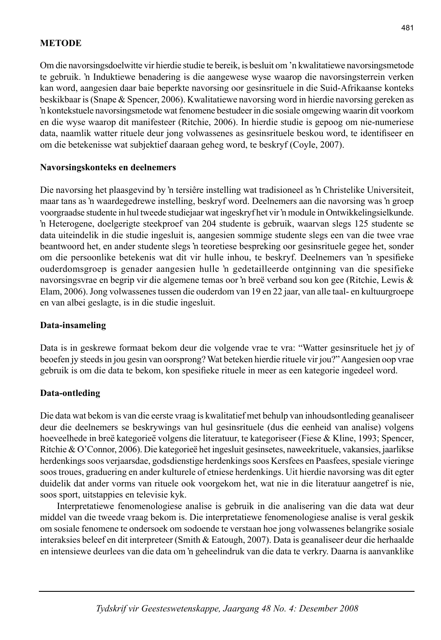## **METODE**

Om die navorsingsdoelwitte vir hierdie studie te bereik, is besluit om 'n kwalitatiewe navorsingsmetode te gebruik. 'n Induktiewe benadering is die aangewese wyse waarop die navorsingsterrein verken kan word, aangesien daar baie beperkte navorsing oor gesinsrituele in die Suid-Afrikaanse konteks beskikbaar is (Snape & Spencer, 2006). Kwalitatiewe navorsing word in hierdie navorsing gereken as 'n kontekstuele navorsingsmetode wat fenomene bestudeer in die sosiale omgewing waarin dit voorkom en die wyse waarop dit manifesteer (Ritchie, 2006). In hierdie studie is gepoog om nie-numeriese data, naamlik watter rituele deur jong volwassenes as gesinsrituele beskou word, te identifiseer en om die betekenisse wat subjektief daaraan geheg word, te beskryf (Coyle, 2007).

#### **Navorsingskonteks en deelnemers**

Die navorsing het plaasgevind by 'n tersiêre instelling wat tradisioneel as 'n Christelike Universiteit, maar tans as 'n waardegedrewe instelling, beskryf word. Deelnemers aan die navorsing was 'n groep voorgraadse studente in hul tweede studiejaar wat ingeskryf het vir 'n module in Ontwikkelingsielkunde. 'n Heterogene, doelgerigte steekproef van 204 studente is gebruik, waarvan slegs 125 studente se data uiteindelik in die studie ingesluit is, aangesien sommige studente slegs een van die twee vrae beantwoord het, en ander studente slegs 'n teoretiese bespreking oor gesinsrituele gegee het, sonder om die persoonlike betekenis wat dit vir hulle inhou, te beskryf. Deelnemers van 'n spesifieke ouderdomsgroep is genader aangesien hulle 'n gedetailleerde ontginning van die spesifieke navorsingsvrae en begrip vir die algemene temas oor 'n breë verband sou kon gee (Ritchie, Lewis & Elam, 2006). Jong volwassenes tussen die ouderdom van 19 en 22 jaar, van alle taal- en kultuurgroepe en van albei geslagte, is in die studie ingesluit.

### **Data-insameling**

Data is in geskrewe formaat bekom deur die volgende vrae te vra: "Watter gesinsrituele het jy of beoefen jy steeds in jou gesin van oorsprong? Wat beteken hierdie rituele vir jou?" Aangesien oop vrae gebruik is om die data te bekom, kon spesifieke rituele in meer as een kategorie ingedeel word.

# **Data-ontleding**

Die data wat bekom is van die eerste vraag is kwalitatief met behulp van inhoudsontleding geanaliseer deur die deelnemers se beskrywings van hul gesinsrituele (dus die eenheid van analise) volgens hoeveelhede in breë kategorieë volgens die literatuur, te kategoriseer (Fiese & Kline, 1993; Spencer, Ritchie & O'Connor, 2006). Die kategorieë het ingesluit gesinsetes, naweekrituele, vakansies, jaarlikse herdenkings soos verjaarsdae, godsdienstige herdenkings soos Kersfees en Paasfees, spesiale vieringe soos troues, graduering en ander kulturele of etniese herdenkings. Uit hierdie navorsing was dit egter duidelik dat ander vorms van rituele ook voorgekom het, wat nie in die literatuur aangetref is nie, soos sport, uitstappies en televisie kyk.

 Interpretatiewe fenomenologiese analise is gebruik in die analisering van die data wat deur middel van die tweede vraag bekom is. Die interpretatiewe fenomenologiese analise is veral geskik om sosiale fenomene te ondersoek om sodoende te verstaan hoe jong volwassenes belangrike sosiale interaksies beleef en dit interpreteer (Smith & Eatough, 2007). Data is geanaliseer deur die herhaalde en intensiewe deurlees van die data om 'n geheelindruk van die data te verkry. Daarna is aanvanklike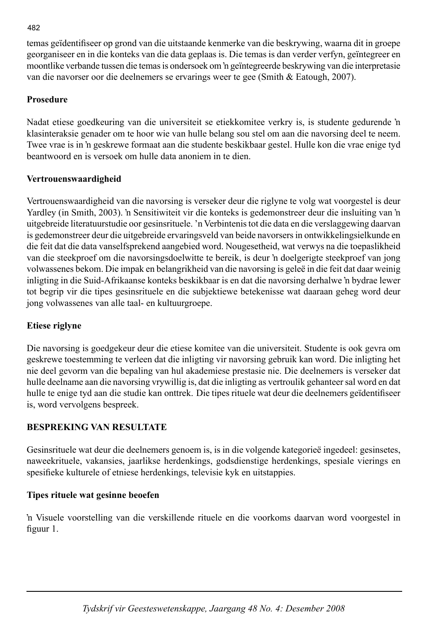temas geïdentifiseer op grond van die uitstaande kenmerke van die beskrywing, waarna dit in groepe georganiseer en in die konteks van die data geplaas is. Die temas is dan verder verfyn, geïntegreer en moontlike verbande tussen die temas is ondersoek om 'n geïntegreerde beskrywing van die interpretasie van die navorser oor die deelnemers se ervarings weer te gee (Smith & Eatough, 2007).

# **Prosedure**

Nadat etiese goedkeuring van die universiteit se etiekkomitee verkry is, is studente gedurende 'n klasinteraksie genader om te hoor wie van hulle belang sou stel om aan die navorsing deel te neem. Twee vrae is in 'n geskrewe formaat aan die studente beskikbaar gestel. Hulle kon die vrae enige tyd beantwoord en is versoek om hulle data anoniem in te dien.

# **Vertrouenswaardigheid**

Vertrouenswaardigheid van die navorsing is verseker deur die riglyne te volg wat voorgestel is deur Yardley (in Smith, 2003). 'n Sensitiwiteit vir die konteks is gedemonstreer deur die insluiting van 'n uitgebreide literatuurstudie oor gesinsrituele. 'n Verbintenis tot die data en die verslaggewing daarvan is gedemonstreer deur die uitgebreide ervaringsveld van beide navorsers in ontwikkelingsielkunde en die feit dat die data vanselfsprekend aangebied word. Nougesetheid, wat verwys na die toepaslikheid van die steekproef om die navorsingsdoelwitte te bereik, is deur 'n doelgerigte steekproef van jong volwassenes bekom. Die impak en belangrikheid van die navorsing is geleë in die feit dat daar weinig inligting in die Suid-Afrikaanse konteks beskikbaar is en dat die navorsing derhalwe 'n bydrae lewer tot begrip vir die tipes gesinsrituele en die subjektiewe betekenisse wat daaraan geheg word deur jong volwassenes van alle taal- en kultuurgroepe.

# **Etiese riglyne**

Die navorsing is goedgekeur deur die etiese komitee van die universiteit. Studente is ook gevra om geskrewe toestemming te verleen dat die inligting vir navorsing gebruik kan word. Die inligting het nie deel gevorm van die bepaling van hul akademiese prestasie nie. Die deelnemers is verseker dat hulle deelname aan die navorsing vrywillig is, dat die inligting as vertroulik gehanteer sal word en dat hulle te enige tyd aan die studie kan onttrek. Die tipes rituele wat deur die deelnemers geïdentifiseer is, word vervolgens bespreek.

# **BESPREKING VAN RESULTATE**

Gesinsrituele wat deur die deelnemers genoem is, is in die volgende kategorieë ingedeel: gesinsetes, naweekrituele, vakansies, jaarlikse herdenkings, godsdienstige herdenkings, spesiale vierings en spesifieke kulturele of etniese herdenkings, televisie kyk en uitstappies.

# **Tipes rituele wat gesinne beoefen**

'n Visuele voorstelling van die verskillende rituele en die voorkoms daarvan word voorgestel in figuur 1.

#### 482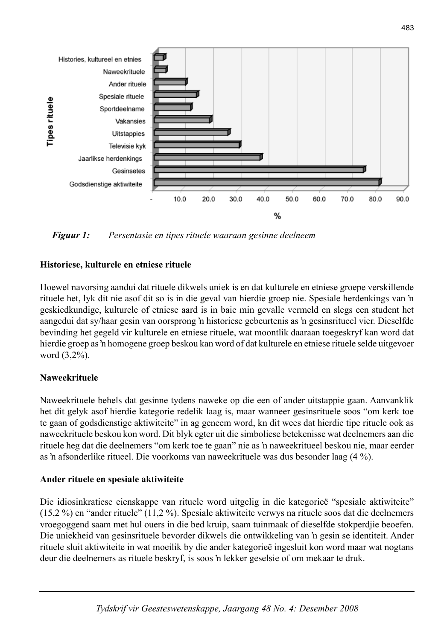

*Figuur 1: Persentasie en tipes rituele waaraan gesinne deelneem*

## **Historiese, kulturele en etniese rituele**

Hoewel navorsing aandui dat rituele dikwels uniek is en dat kulturele en etniese groepe verskillende rituele het, lyk dit nie asof dit so is in die geval van hierdie groep nie. Spesiale herdenkings van 'n geskiedkundige, kulturele of etniese aard is in baie min gevalle vermeld en slegs een student het aangedui dat sy/haar gesin van oorsprong 'n historiese gebeurtenis as 'n gesinsritueel vier. Dieselfde bevinding het gegeld vir kulturele en etniese rituele, wat moontlik daaraan toegeskryf kan word dat hierdie groep as 'n homogene groep beskou kan word of dat kulturele en etniese rituele selde uitgevoer word (3,2%).

#### **Naweekrituele**

Naweekrituele behels dat gesinne tydens naweke op die een of ander uitstappie gaan. Aanvanklik het dit gelyk asof hierdie kategorie redelik laag is, maar wanneer gesinsrituele soos "om kerk toe te gaan of godsdienstige aktiwiteite" in ag geneem word, kn dit wees dat hierdie tipe rituele ook as naweekrituele beskou kon word. Dit blyk egter uit die simboliese betekenisse wat deelnemers aan die rituele heg dat die deelnemers "om kerk toe te gaan" nie as 'n naweekritueel beskou nie, maar eerder as 'n afsonderlike ritueel. Die voorkoms van naweekrituele was dus besonder laag (4 %).

#### **Ander rituele en spesiale aktiwiteite**

Die idiosinkratiese eienskappe van rituele word uitgelig in die kategorieë "spesiale aktiwiteite" (15,2 %) en "ander rituele" (11,2 %). Spesiale aktiwiteite verwys na rituele soos dat die deelnemers vroegoggend saam met hul ouers in die bed kruip, saam tuinmaak of dieselfde stokperdjie beoefen. Die uniekheid van gesinsrituele bevorder dikwels die ontwikkeling van 'n gesin se identiteit. Ander rituele sluit aktiwiteite in wat moeilik by die ander kategorieë ingesluit kon word maar wat nogtans deur die deelnemers as rituele beskryf, is soos 'n lekker geselsie of om mekaar te druk.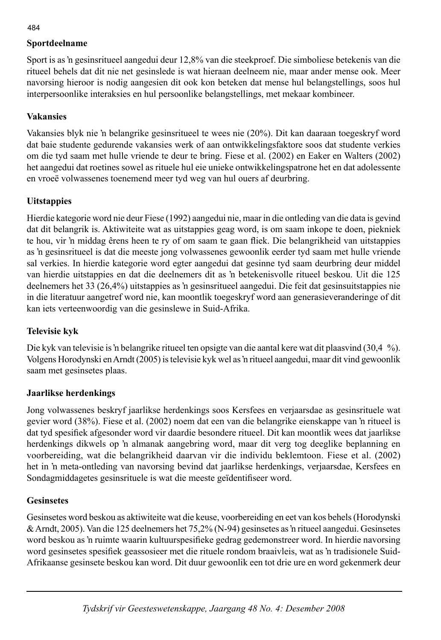# **Sportdeelname**

Sport is as 'n gesinsritueel aangedui deur 12,8% van die steekproef. Die simboliese betekenis van die ritueel behels dat dit nie net gesinslede is wat hieraan deelneem nie, maar ander mense ook. Meer navorsing hieroor is nodig aangesien dit ook kon beteken dat mense hul belangstellings, soos hul interpersoonlike interaksies en hul persoonlike belangstellings, met mekaar kombineer.

# **Vakansies**

Vakansies blyk nie 'n belangrike gesinsritueel te wees nie (20%). Dit kan daaraan toegeskryf word dat baie studente gedurende vakansies werk of aan ontwikkelingsfaktore soos dat studente verkies om die tyd saam met hulle vriende te deur te bring. Fiese et al. (2002) en Eaker en Walters (2002) het aangedui dat roetines sowel as rituele hul eie unieke ontwikkelingspatrone het en dat adolessente en vroeë volwassenes toenemend meer tyd weg van hul ouers af deurbring.

# **Uitstappies**

Hierdie kategorie word nie deur Fiese (1992) aangedui nie, maar in die ontleding van die data is gevind dat dit belangrik is. Aktiwiteite wat as uitstappies geag word, is om saam inkope te doen, piekniek te hou, vir 'n middag êrens heen te ry of om saam te gaan fliek. Die belangrikheid van uitstappies as 'n gesinsritueel is dat die meeste jong volwassenes gewoonlik eerder tyd saam met hulle vriende sal verkies. In hierdie kategorie word egter aangedui dat gesinne tyd saam deurbring deur middel van hierdie uitstappies en dat die deelnemers dit as 'n betekenisvolle ritueel beskou. Uit die 125 deelnemers het 33 (26,4%) uitstappies as 'n gesinsritueel aangedui. Die feit dat gesinsuitstappies nie in die literatuur aangetref word nie, kan moontlik toegeskryf word aan generasieveranderinge of dit kan iets verteenwoordig van die gesinslewe in Suid-Afrika.

# **Televisie kyk**

Die kyk van televisie is 'n belangrike ritueel ten opsigte van die aantal kere wat dit plaasvind (30,4 %). Volgens Horodynski en Arndt (2005) is televisie kyk wel as 'n ritueel aangedui, maar dit vind gewoonlik saam met gesinsetes plaas.

# **Jaarlikse herdenkings**

Jong volwassenes beskryf jaarlikse herdenkings soos Kersfees en verjaarsdae as gesinsrituele wat gevier word (38%). Fiese et al. (2002) noem dat een van die belangrike eienskappe van 'n ritueel is dat tyd spesifiek afgesonder word vir daardie besondere ritueel. Dit kan moontlik wees dat jaarlikse herdenkings dikwels op 'n almanak aangebring word, maar dit verg tog deeglike beplanning en voorbereiding, wat die belangrikheid daarvan vir die individu beklemtoon. Fiese et al. (2002) het in 'n meta-ontleding van navorsing bevind dat jaarlikse herdenkings, verjaarsdae, Kersfees en Sondagmiddagetes gesinsrituele is wat die meeste geïdentifiseer word.

# **Gesinsetes**

Gesinsetes word beskou as aktiwiteite wat die keuse, voorbereiding en eet van kos behels (Horodynski & Arndt, 2005). Van die 125 deelnemers het 75,2% (N-94) gesinsetes as 'n ritueel aangedui. Gesinsetes word beskou as 'n ruimte waarin kultuurspesifieke gedrag gedemonstreer word. In hierdie navorsing word gesinsetes spesifiek geassosieer met die rituele rondom braaivleis, wat as 'n tradisionele Suid-Afrikaanse gesinsete beskou kan word. Dit duur gewoonlik een tot drie ure en word gekenmerk deur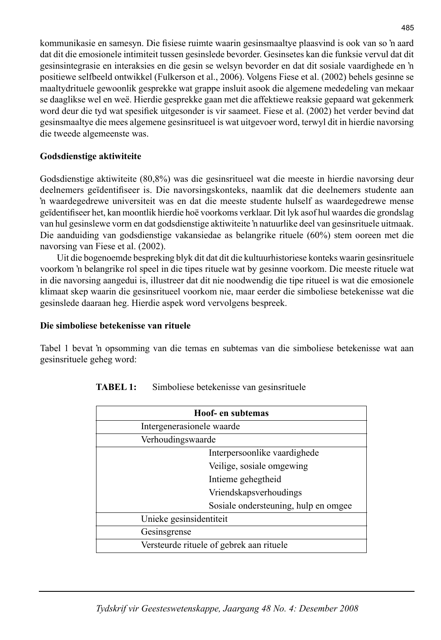kommunikasie en samesyn. Die fisiese ruimte waarin gesinsmaaltye plaasvind is ook van so 'n aard dat dit die emosionele intimiteit tussen gesinslede bevorder. Gesinsetes kan die funksie vervul dat dit gesinsintegrasie en interaksies en die gesin se welsyn bevorder en dat dit sosiale vaardighede en 'n positiewe selfbeeld ontwikkel (Fulkerson et al., 2006). Volgens Fiese et al. (2002) behels gesinne se maaltydrituele gewoonlik gesprekke wat grappe insluit asook die algemene mededeling van mekaar se daaglikse wel en weë. Hierdie gesprekke gaan met die affektiewe reaksie gepaard wat gekenmerk word deur die tyd wat spesifiek uitgesonder is vir saameet. Fiese et al. (2002) het verder bevind dat gesinsmaaltye die mees algemene gesinsritueel is wat uitgevoer word, terwyl dit in hierdie navorsing die tweede algemeenste was.

## **Godsdienstige aktiwiteite**

Godsdienstige aktiwiteite (80,8%) was die gesinsritueel wat die meeste in hierdie navorsing deur deelnemers geïdentifiseer is. Die navorsingskonteks, naamlik dat die deelnemers studente aan 'n waardegedrewe universiteit was en dat die meeste studente hulself as waardegedrewe mense geïdentifi seer het, kan moontlik hierdie hoë voorkoms verklaar. Dit lyk asof hul waardes die grondslag van hul gesinslewe vorm en dat godsdienstige aktiwiteite 'n natuurlike deel van gesinsrituele uitmaak. Die aanduiding van godsdienstige vakansiedae as belangrike rituele (60%) stem ooreen met die navorsing van Fiese et al. (2002).

 Uit die bogenoemde bespreking blyk dit dat dit die kultuurhistoriese konteks waarin gesinsrituele voorkom 'n belangrike rol speel in die tipes rituele wat by gesinne voorkom. Die meeste rituele wat in die navorsing aangedui is, illustreer dat dit nie noodwendig die tipe ritueel is wat die emosionele klimaat skep waarin die gesinsritueel voorkom nie, maar eerder die simboliese betekenisse wat die gesinslede daaraan heg. Hierdie aspek word vervolgens bespreek.

# **Die simboliese betekenisse van rituele**

Tabel 1 bevat 'n opsomming van die temas en subtemas van die simboliese betekenisse wat aan gesinsrituele geheg word:

| Hoof- en subtemas                        |  |
|------------------------------------------|--|
| Intergenerasionele waarde                |  |
| Verhoudingswaarde                        |  |
| Interpersoonlike vaardighede             |  |
| Veilige, sosiale omgewing                |  |
| Intieme gehegtheid                       |  |
| Vriendskapsverhoudings                   |  |
| Sosiale ondersteuning, hulp en omgee     |  |
| Unieke gesinsidentiteit                  |  |
| Gesinsgrense                             |  |
| Versteurde rituele of gebrek aan rituele |  |

| <b>TABEL 1:</b> | Simboliese betekenisse van gesinsrituele |  |
|-----------------|------------------------------------------|--|
|-----------------|------------------------------------------|--|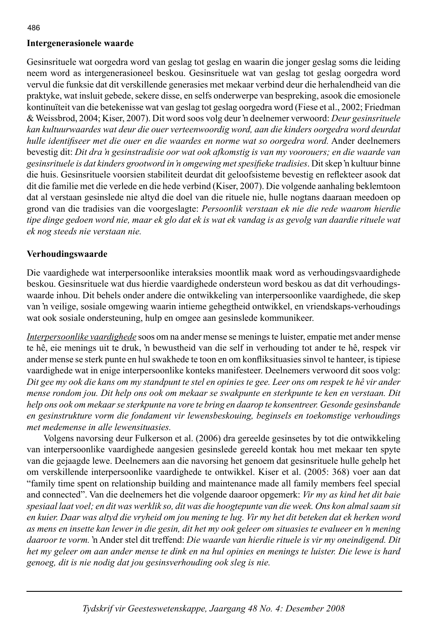# **Intergenerasionele waarde**

Gesinsrituele wat oorgedra word van geslag tot geslag en waarin die jonger geslag soms die leiding neem word as intergenerasioneel beskou. Gesinsrituele wat van geslag tot geslag oorgedra word vervul die funksie dat dit verskillende generasies met mekaar verbind deur die herhalendheid van die praktyke, wat insluit gebede, sekere disse, en selfs onderwerpe van bespreking, asook die emosionele kontinuïteit van die betekenisse wat van geslag tot geslag oorgedra word (Fiese et al., 2002; Friedman & Weissbrod, 2004; Kiser, 2007). Dit word soos volg deur 'n deelnemer verwoord: *Deur gesinsrituele kan kultuurwaardes wat deur die ouer verteenwoordig word, aan die kinders oorgedra word deurdat hulle identifi seer met die ouer en die waardes en norme wat so oorgedra word.* Ander deelnemers bevestig dit: *Dit dra 'n gesinstradisie oor wat ook afkomstig is van my voorouers; en die waarde van gesinsrituele is dat kinders grootword in 'n omgewing met spesifi eke tradisies*. Dit skep 'n kultuur binne die huis. Gesinsrituele voorsien stabiliteit deurdat dit geloofsisteme bevestig en reflekteer asook dat dit die familie met die verlede en die hede verbind (Kiser, 2007). Die volgende aanhaling beklemtoon dat al verstaan gesinslede nie altyd die doel van die rituele nie, hulle nogtans daaraan meedoen op grond van die tradisies van die voorgeslagte: *Persoonlik verstaan ek nie die rede waarom hierdie tipe dinge gedoen word nie, maar ek glo dat ek is wat ek vandag is as gevolg van daardie rituele wat ek nog steeds nie verstaan nie.* 

# **Verhoudingswaarde**

Die vaardighede wat interpersoonlike interaksies moontlik maak word as verhoudingsvaardighede beskou. Gesinsrituele wat dus hierdie vaardighede ondersteun word beskou as dat dit verhoudingswaarde inhou. Dit behels onder andere die ontwikkeling van interpersoonlike vaardighede, die skep van 'n veilige, sosiale omgewing waarin intieme gehegtheid ontwikkel, en vriendskaps-verhoudings wat ook sosiale ondersteuning, hulp en omgee aan gesinslede kommunikeer.

*Interpersoonlike vaardighede* soos om na ander mense se menings te luister, empatie met ander mense te hê, eie menings uit te druk, 'n bewustheid van die self in verhouding tot ander te hê, respek vir ander mense se sterk punte en hul swakhede te toon en om konfliksituasies sinvol te hanteer, is tipiese vaardighede wat in enige interpersoonlike konteks manifesteer. Deelnemers verwoord dit soos volg: *Dit gee my ook die kans om my standpunt te stel en opinies te gee. Leer ons om respek te hê vir ander mense rondom jou. Dit help ons ook om mekaar se swakpunte en sterkpunte te ken en verstaan. Dit help ons ook om mekaar se sterkpunte na vore te bring en daarop te konsentreer. Gesonde gesinsbande en gesinstrukture vorm die fondament vir lewensbeskouing, beginsels en toekomstige verhoudings met medemense in alle lewensituasies.*

 Volgens navorsing deur Fulkerson et al. (2006) dra gereelde gesinsetes by tot die ontwikkeling van interpersoonlike vaardighede aangesien gesinslede gereeld kontak hou met mekaar ten spyte van die gejaagde lewe. Deelnemers aan die navorsing het genoem dat gesinsrituele hulle gehelp het om verskillende interpersoonlike vaardighede te ontwikkel. Kiser et al. (2005: 368) voer aan dat "family time spent on relationship building and maintenance made all family members feel special and connected". Van die deelnemers het die volgende daaroor opgemerk: *Vir my as kind het dit baie spesiaal laat voel; en dit was werklik so, dit was die hoogtepunte van die week. Ons kon almal saam sit en kuier. Daar was altyd die vryheid om jou mening te lug. Vir my het dit beteken dat ek herken word as mens en insette kan lewer in die gesin, dit het my ook geleer om situasies te evalueer en 'n mening daaroor te vorm.* 'n Ander stel dit treffend: *Die waarde van hierdie rituele is vir my oneindigend. Dit het my geleer om aan ander mense te dink en na hul opinies en menings te luister. Die lewe is hard genoeg, dit is nie nodig dat jou gesinsverhouding ook sleg is nie.*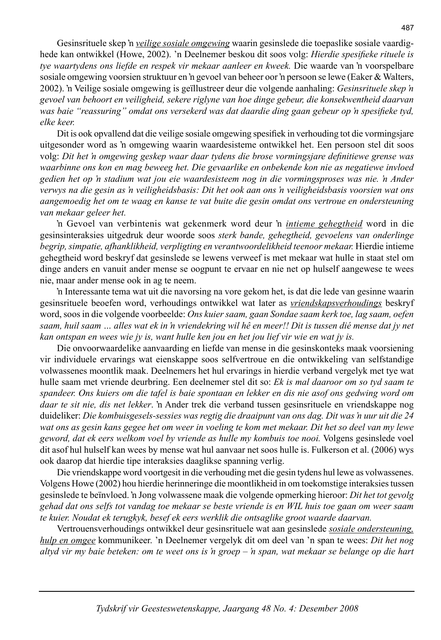Gesinsrituele skep 'n *veilige sosiale omgewing* waarin gesinslede die toepaslike sosiale vaardighede kan ontwikkel (Howe, 2002). 'n Deelnemer beskou dit soos volg: *Hierdie spesifieke rituele is tye waartydens ons liefde en respek vir mekaar aanleer en kweek.* Die waarde van 'n voorspelbare sosiale omgewing voorsien struktuur en 'n gevoel van beheer oor 'n persoon se lewe (Eaker & Walters, 2002). 'n Veilige sosiale omgewing is geïllustreer deur die volgende aanhaling: *Gesinsrituele skep 'n gevoel van behoort en veiligheid, sekere riglyne van hoe dinge gebeur, die konsekwentheid daarvan*  was baie "reassuring" omdat ons versekerd was dat daardie ding gaan gebeur op 'n spesifieke tyd, *elke keer.* 

Dit is ook opvallend dat die veilige sosiale omgewing spesifiek in verhouding tot die vormingsjare uitgesonder word as 'n omgewing waarin waardesisteme ontwikkel het. Een persoon stel dit soos volg: Dit het 'n omgewing geskep waar daar tydens die brose vormingsjare definitiewe grense was *waarbinne ons kon en mag beweeg het. Die gevaarlike en onbekende kon nie as negatiewe invloed gedien het op 'n stadium wat jou eie waardesisteem nog in die vormingsproses was nie. 'n Ander verwys na die gesin as 'n veiligheidsbasis: Dit het ook aan ons 'n veiligheidsbasis voorsien wat ons aangemoedig het om te waag en kanse te vat buite die gesin omdat ons vertroue en ondersteuning van mekaar geleer het.*

'n Gevoel van verbintenis wat gekenmerk word deur 'n *intieme gehegtheid* word in die gesinsinteraksies uitgedruk deur woorde soos *sterk bande, gehegtheid, gevoelens van onderlinge begrip, simpatie, afhanklikheid, verpligting en verantwoordelikheid teenoor mekaar.* Hierdie intieme gehegtheid word beskryf dat gesinslede se lewens verweef is met mekaar wat hulle in staat stel om dinge anders en vanuit ander mense se oogpunt te ervaar en nie net op hulself aangewese te wees nie, maar ander mense ook in ag te neem.

'n Interessante tema wat uit die navorsing na vore gekom het, is dat die lede van gesinne waarin gesinsrituele beoefen word, verhoudings ontwikkel wat later as *vriendskapsverhoudings* beskryf word, soos in die volgende voorbeelde: *Ons kuier saam, gaan Sondae saam kerk toe, lag saam, oefen saam, huil saam … alles wat ek in 'n vriendekring wil hê en meer!! Dit is tussen dié mense dat jy net kan ontspan en wees wie jy is, want hulle ken jou en het jou lief vir wie en wat jy is.*

 Die onvoorwaardelike aanvaarding en liefde van mense in die gesinskonteks maak voorsiening vir individuele ervarings wat eienskappe soos selfvertroue en die ontwikkeling van selfstandige volwassenes moontlik maak. Deelnemers het hul ervarings in hierdie verband vergelyk met tye wat hulle saam met vriende deurbring. Een deelnemer stel dit so: *Ek is mal daaroor om so tyd saam te spandeer. Ons kuiers om die tafel is baie spontaan en lekker en dis nie asof ons gedwing word om daar te sit nie, dis net lekker*. 'n Ander trek die verband tussen gesinsrituele en vriendskappe nog duideliker: *Die kombuisgesels-sessies was regtig die draaipunt van ons dag. Dit was 'n uur uit die 24 wat ons as gesin kans gegee het om weer in voeling te kom met mekaar. Dit het so deel van my lewe geword, dat ek eers welkom voel by vriende as hulle my kombuis toe nooi.* Volgens gesinslede voel dit asof hul hulself kan wees by mense wat hul aanvaar net soos hulle is. Fulkerson et al. (2006) wys ook daarop dat hierdie tipe interaksies daaglikse spanning verlig.

 Die vriendskappe word voortgesit in die verhouding met die gesin tydens hul lewe as volwassenes. Volgens Howe (2002) hou hierdie herinneringe die moontlikheid in om toekomstige interaksies tussen gesinslede te beïnvloed. 'n Jong volwassene maak die volgende opmerking hieroor: *Dit het tot gevolg gehad dat ons selfs tot vandag toe mekaar se beste vriende is en WIL huis toe gaan om weer saam te kuier. Noudat ek terugkyk, besef ek eers werklik die ontsaglike groot waarde daarvan.* 

 Vertrouensverhoudings ontwikkel deur gesinsrituele wat aan gesinslede *sosiale ondersteuning, hulp en omgee* kommunikeer. 'n Deelnemer vergelyk dit om deel van 'n span te wees: *Dit het nog altyd vir my baie beteken: om te weet ons is 'n groep – 'n span, wat mekaar se belange op die hart*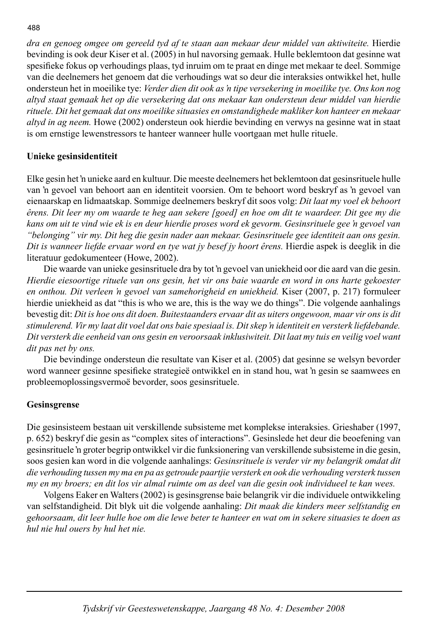*dra en genoeg omgee om gereeld tyd af te staan aan mekaar deur middel van aktiwiteite.* Hierdie bevinding is ook deur Kiser et al. (2005) in hul navorsing gemaak. Hulle beklemtoon dat gesinne wat spesifi eke fokus op verhoudings plaas, tyd inruim om te praat en dinge met mekaar te deel. Sommige van die deelnemers het genoem dat die verhoudings wat so deur die interaksies ontwikkel het, hulle ondersteun het in moeilike tye: *Verder dien dit ook as 'n tipe versekering in moeilike tye. Ons kon nog altyd staat gemaak het op die versekering dat ons mekaar kan ondersteun deur middel van hierdie rituele. Dit het gemaak dat ons moeilike situasies en omstandighede makliker kon hanteer en mekaar altyd in ag neem.* Howe (2002) ondersteun ook hierdie bevinding en verwys na gesinne wat in staat is om ernstige lewenstressors te hanteer wanneer hulle voortgaan met hulle rituele.

## **Unieke gesinsidentiteit**

Elke gesin het 'n unieke aard en kultuur. Die meeste deelnemers het beklemtoon dat gesinsrituele hulle van 'n gevoel van behoort aan en identiteit voorsien. Om te behoort word beskryf as 'n gevoel van eienaarskap en lidmaatskap. Sommige deelnemers beskryf dit soos volg: *Dit laat my voel ek behoort êrens. Dit leer my om waarde te heg aan sekere [goed] en hoe om dit te waardeer. Dit gee my die kans om uit te vind wie ek is en deur hierdie proses word ek gevorm. Gesinsrituele gee 'n gevoel van "belonging" vir my. Dit heg die gesin nader aan mekaar. Gesinsrituele gee identiteit aan ons gesin. Dit is wanneer liefde ervaar word en tye wat jy besef jy hoort êrens.* Hierdie aspek is deeglik in die literatuur gedokumenteer (Howe, 2002).

 Die waarde van unieke gesinsrituele dra by tot 'n gevoel van uniekheid oor die aard van die gesin. *Hierdie eiesoortige rituele van ons gesin, het vir ons baie waarde en word in ons harte gekoester en onthou. Dit verleen 'n gevoel van samehorigheid en uniekheid.* Kiser (2007, p. 217) formuleer hierdie uniekheid as dat "this is who we are, this is the way we do things". Die volgende aanhalings bevestig dit: *Dit is hoe ons dit doen. Buitestaanders ervaar dit as uiters ongewoon, maar vir ons is dit stimulerend. Vir my laat dit voel dat ons baie spesiaal is. Dit skep 'n identiteit en versterk liefdebande. Dit versterk die eenheid van ons gesin en veroorsaak inklusiwiteit. Dit laat my tuis en veilig voel want dit pas net by ons.*

 Die bevindinge ondersteun die resultate van Kiser et al. (2005) dat gesinne se welsyn bevorder word wanneer gesinne spesifieke strategieë ontwikkel en in stand hou, wat 'n gesin se saamwees en probleemoplossingsvermoë bevorder, soos gesinsrituele.

#### **Gesinsgrense**

Die gesinsisteem bestaan uit verskillende subsisteme met komplekse interaksies. Grieshaber (1997, p. 652) beskryf die gesin as "complex sites of interactions". Gesinslede het deur die beoefening van gesinsrituele 'n groter begrip ontwikkel vir die funksionering van verskillende subsisteme in die gesin, soos gesien kan word in die volgende aanhalings: *Gesinsrituele is verder vir my belangrik omdat dit die verhouding tussen my ma en pa as getroude paartjie versterk en ook die verhouding versterk tussen my en my broers; en dit los vir almal ruimte om as deel van die gesin ook individueel te kan wees.*

 Volgens Eaker en Walters (2002) is gesinsgrense baie belangrik vir die individuele ontwikkeling van selfstandigheid. Dit blyk uit die volgende aanhaling: *Dit maak die kinders meer selfstandig en gehoorsaam, dit leer hulle hoe om die lewe beter te hanteer en wat om in sekere situasies te doen as hul nie hul ouers by hul het nie.*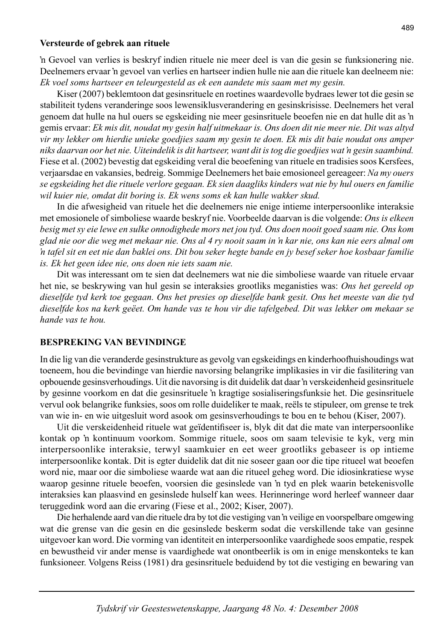#### **Versteurde of gebrek aan rituele**

'n Gevoel van verlies is beskryf indien rituele nie meer deel is van die gesin se funksionering nie. Deelnemers ervaar 'n gevoel van verlies en hartseer indien hulle nie aan die rituele kan deelneem nie: *Ek voel soms hartseer en teleurgesteld as ek een aandete mis saam met my gesin.* 

 Kiser (2007) beklemtoon dat gesinsrituele en roetines waardevolle bydraes lewer tot die gesin se stabiliteit tydens veranderinge soos lewensiklusverandering en gesinskrisisse. Deelnemers het veral genoem dat hulle na hul ouers se egskeiding nie meer gesinsrituele beoefen nie en dat hulle dit as 'n gemis ervaar: *Ek mis dit, noudat my gesin half uitmekaar is. Ons doen dit nie meer nie. Dit was altyd vir my lekker om hierdie unieke goedjies saam my gesin te doen. Ek mis dit baie noudat ons amper niks daarvan oor het nie. Uiteindelik is dit hartseer, want dit is tog die goedjies wat 'n gesin saambind.* Fiese et al. (2002) bevestig dat egskeiding veral die beoefening van rituele en tradisies soos Kersfees, verjaarsdae en vakansies, bedreig. Sommige Deelnemers het baie emosioneel gereageer: *Na my ouers se egskeiding het die rituele verlore gegaan. Ek sien daagliks kinders wat nie by hul ouers en familie wil kuier nie, omdat dit boring is. Ek wens soms ek kan hulle wakker skud.*

 In die afwesigheid van rituele het die deelnemers nie enige intieme interpersoonlike interaksie met emosionele of simboliese waarde beskryf nie. Voorbeelde daarvan is die volgende: *Ons is elkeen besig met sy eie lewe en sulke onnodighede mors net jou tyd. Ons doen nooit goed saam nie. Ons kom glad nie oor die weg met mekaar nie. Ons al 4 ry nooit saam in 'n kar nie, ons kan nie eers almal om 'n tafel sit en eet nie dan baklei ons. Dit bou seker hegte bande en jy besef seker hoe kosbaar familie is. Ek het geen idee nie, ons doen nie iets saam nie.*

 Dit was interessant om te sien dat deelnemers wat nie die simboliese waarde van rituele ervaar het nie, se beskrywing van hul gesin se interaksies grootliks meganisties was: *Ons het gereeld op dieselfde tyd kerk toe gegaan. Ons het presies op dieselfde bank gesit. Ons het meeste van die tyd dieselfde kos na kerk geëet. Om hande vas te hou vir die tafelgebed. Dit was lekker om mekaar se hande vas te hou.*

# **BESPREKING VAN BEVINDINGE**

In die lig van die veranderde gesinstrukture as gevolg van egskeidings en kinderhoofhuishoudings wat toeneem, hou die bevindinge van hierdie navorsing belangrike implikasies in vir die fasilitering van opbouende gesinsverhoudings. Uit die navorsing is dit duidelik dat daar 'n verskeidenheid gesinsrituele by gesinne voorkom en dat die gesinsrituele 'n kragtige sosialiseringsfunksie het. Die gesinsrituele vervul ook belangrike funksies, soos om rolle duideliker te maak, reëls te stipuleer, om grense te trek van wie in- en wie uitgesluit word asook om gesinsverhoudings te bou en te behou (Kiser, 2007).

Uit die verskeidenheid rituele wat geïdentifiseer is, blyk dit dat die mate van interpersoonlike kontak op 'n kontinuum voorkom. Sommige rituele, soos om saam televisie te kyk, verg min interpersoonlike interaksie, terwyl saamkuier en eet weer grootliks gebaseer is op intieme interpersoonlike kontak. Dit is egter duidelik dat dit nie soseer gaan oor die tipe ritueel wat beoefen word nie, maar oor die simboliese waarde wat aan die ritueel geheg word. Die idiosinkratiese wyse waarop gesinne rituele beoefen, voorsien die gesinslede van 'n tyd en plek waarin betekenisvolle interaksies kan plaasvind en gesinslede hulself kan wees. Herinneringe word herleef wanneer daar teruggedink word aan die ervaring (Fiese et al., 2002; Kiser, 2007).

 Die herhalende aard van die rituele dra by tot die vestiging van 'n veilige en voorspelbare omgewing wat die grense van die gesin en die gesinslede beskerm sodat die verskillende take van gesinne uitgevoer kan word. Die vorming van identiteit en interpersoonlike vaardighede soos empatie, respek en bewustheid vir ander mense is vaardighede wat onontbeerlik is om in enige menskonteks te kan funksioneer. Volgens Reiss (1981) dra gesinsrituele beduidend by tot die vestiging en bewaring van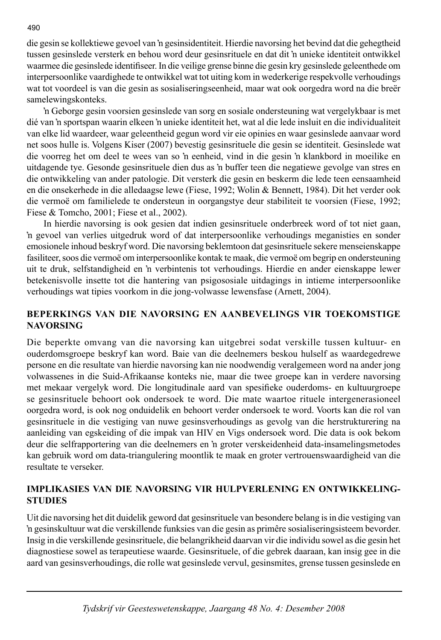die gesin se kollektiewe gevoel van 'n gesinsidentiteit. Hierdie navorsing het bevind dat die gehegtheid tussen gesinslede versterk en behou word deur gesinsrituele en dat dit 'n unieke identiteit ontwikkel waarmee die gesinslede identifiseer. In die veilige grense binne die gesin kry gesinslede geleenthede om interpersoonlike vaardighede te ontwikkel wat tot uiting kom in wederkerige respekvolle verhoudings wat tot voordeel is van die gesin as sosialiseringseenheid, maar wat ook oorgedra word na die breër samelewingskonteks.

'n Geborge gesin voorsien gesinslede van sorg en sosiale ondersteuning wat vergelykbaar is met dié van 'n sportspan waarin elkeen 'n unieke identiteit het, wat al die lede insluit en die individualiteit van elke lid waardeer, waar geleentheid gegun word vir eie opinies en waar gesinslede aanvaar word net soos hulle is. Volgens Kiser (2007) bevestig gesinsrituele die gesin se identiteit. Gesinslede wat die voorreg het om deel te wees van so 'n eenheid, vind in die gesin 'n klankbord in moeilike en uitdagende tye. Gesonde gesinsrituele dien dus as 'n buffer teen die negatiewe gevolge van stres en die ontwikkeling van ander patologie. Dit versterk die gesin en beskerm die lede teen eensaamheid en die onsekerhede in die alledaagse lewe (Fiese, 1992; Wolin & Bennett, 1984). Dit het verder ook die vermoë om familielede te ondersteun in oorgangstye deur stabiliteit te voorsien (Fiese, 1992; Fiese & Tomcho, 2001; Fiese et al., 2002).

 In hierdie navorsing is ook gesien dat indien gesinsrituele onderbreek word of tot niet gaan, 'n gevoel van verlies uitgedruk word of dat interpersoonlike verhoudings meganisties en sonder emosionele inhoud beskryf word. Die navorsing beklemtoon dat gesinsrituele sekere menseienskappe fasiliteer, soos die vermoë om interpersoonlike kontak te maak, die vermoë om begrip en ondersteuning uit te druk, selfstandigheid en 'n verbintenis tot verhoudings. Hierdie en ander eienskappe lewer betekenisvolle insette tot die hantering van psigososiale uitdagings in intieme interpersoonlike verhoudings wat tipies voorkom in die jong-volwasse lewensfase (Arnett, 2004).

# **BEPERKINGS VAN DIE NAVORSING EN AANBEVELINGS VIR TOEKOMSTIGE NAVORSING**

Die beperkte omvang van die navorsing kan uitgebrei sodat verskille tussen kultuur- en ouderdomsgroepe beskryf kan word. Baie van die deelnemers beskou hulself as waardegedrewe persone en die resultate van hierdie navorsing kan nie noodwendig veralgemeen word na ander jong volwassenes in die Suid-Afrikaanse konteks nie, maar die twee groepe kan in verdere navorsing met mekaar vergelyk word. Die longitudinale aard van spesifieke ouderdoms- en kultuurgroepe se gesinsrituele behoort ook ondersoek te word. Die mate waartoe rituele intergenerasioneel oorgedra word, is ook nog onduidelik en behoort verder ondersoek te word. Voorts kan die rol van gesinsrituele in die vestiging van nuwe gesinsverhoudings as gevolg van die herstrukturering na aanleiding van egskeiding of die impak van HIV en Vigs ondersoek word. Die data is ook bekom deur die selfrapportering van die deelnemers en 'n groter verskeidenheid data-insamelingsmetodes kan gebruik word om data-triangulering moontlik te maak en groter vertrouenswaardigheid van die resultate te verseker.

## **IMPLIKASIES VAN DIE NAVORSING VIR HULPVERLENING EN ONTWIKKELING-STUDIES**

Uit die navorsing het dit duidelik geword dat gesinsrituele van besondere belang is in die vestiging van 'n gesinskultuur wat die verskillende funksies van die gesin as primêre sosialiseringsisteem bevorder. Insig in die verskillende gesinsrituele, die belangrikheid daarvan vir die individu sowel as die gesin het diagnostiese sowel as terapeutiese waarde. Gesinsrituele, of die gebrek daaraan, kan insig gee in die aard van gesinsverhoudings, die rolle wat gesinslede vervul, gesinsmites, grense tussen gesinslede en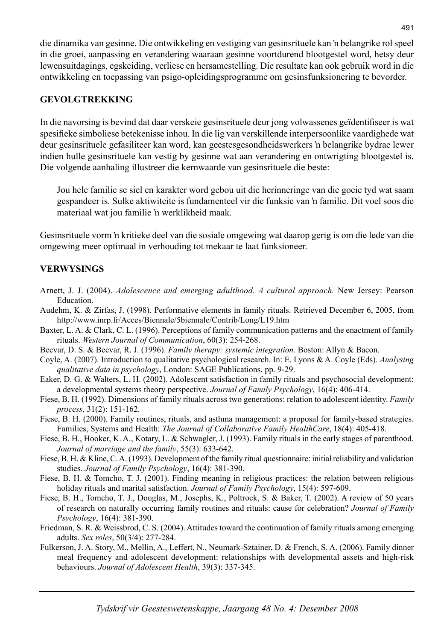die dinamika van gesinne. Die ontwikkeling en vestiging van gesinsrituele kan 'n belangrike rol speel in die groei, aanpassing en verandering waaraan gesinne voortdurend blootgestel word, hetsy deur lewensuitdagings, egskeiding, verliese en hersamestelling. Die resultate kan ook gebruik word in die ontwikkeling en toepassing van psigo-opleidingsprogramme om gesinsfunksionering te bevorder.

## **GEVOLGTREKKING**

In die navorsing is bevind dat daar verskeie gesinsrituele deur jong volwassenes geïdentifiseer is wat spesifi eke simboliese betekenisse inhou. In die lig van verskillende interpersoonlike vaardighede wat deur gesinsrituele gefasiliteer kan word, kan geestesgesondheidswerkers 'n belangrike bydrae lewer indien hulle gesinsrituele kan vestig by gesinne wat aan verandering en ontwrigting blootgestel is. Die volgende aanhaling illustreer die kernwaarde van gesinsrituele die beste:

 Jou hele familie se siel en karakter word gebou uit die herinneringe van die goeie tyd wat saam gespandeer is. Sulke aktiwiteite is fundamenteel vir die funksie van 'n familie. Dit voel soos die materiaal wat jou familie 'n werklikheid maak.

Gesinsrituele vorm 'n kritieke deel van die sosiale omgewing wat daarop gerig is om die lede van die omgewing meer optimaal in verhouding tot mekaar te laat funksioneer.

# **VERWYSINGS**

- Arnett, J. J. (2004). *Adolescence and emerging adulthood. A cultural approach.* New Jersey: Pearson Education.
- Audehm, K. & Zirfas, J. (1998). Performative elements in family rituals. Retrieved December 6, 2005, from http://www.inrp.fr/Acces/Biennale/5biennale/Contrib/Long/L19.htm
- Baxter, L. A. & Clark, C. L. (1996). Perceptions of family communication patterns and the enactment of family rituals. *Western Journal of Communication*, 60(3): 254-268.
- Becvar, D. S. & Becvar, R. J. (1996). *Family therapy: systemic integration.* Boston: Allyn & Bacon.
- Coyle, A. (2007). Introduction to qualitative psychological research. In: E. Lyons & A. Coyle (Eds). *Analysing qualitative data in psychology*, London: SAGE Publications, pp. 9-29.
- Eaker, D. G. & Walters, L. H. (2002). Adolescent satisfaction in family rituals and psychosocial development: a developmental systems theory perspective. *Journal of Family Psychology*, 16(4): 406-414.
- Fiese, B. H. (1992). Dimensions of family rituals across two generations: relation to adolescent identity. *Family process*, 31(2): 151-162.
- Fiese, B. H. (2000). Family routines, rituals, and asthma management: a proposal for family-based strategies. Families, Systems and Health: *The Journal of Collaborative Family HealthCare*, 18(4): 405-418.
- Fiese, B. H., Hooker, K. A., Kotary, L. & Schwagler, J. (1993). Family rituals in the early stages of parenthood. *Journal of marriage and the family*, 55(3): 633-642.
- Fiese, B. H. & Kline, C. A. (1993). Development of the family ritual questionnaire: initial reliability and validation studies. *Journal of Family Psychology*, 16(4): 381-390.
- Fiese, B. H. & Tomcho, T. J. (2001). Finding meaning in religious practices: the relation between religious holiday rituals and marital satisfaction. *Journal of Family Psychology*, 15(4): 597-609.
- Fiese, B. H., Tomcho, T. J., Douglas, M., Josephs, K., Poltrock, S. & Baker, T. (2002). A review of 50 years of research on naturally occurring family routines and rituals: cause for celebration? *Journal of Family Psychology*, 16(4): 381-390.
- Friedman, S. R. & Weissbrod, C. S. (2004). Attitudes toward the continuation of family rituals among emerging adults. *Sex roles*, 50(3/4): 277-284.
- Fulkerson, J. A. Story, M., Mellin, A., Leffert, N., Neumark-Sztainer, D. & French, S. A. (2006). Family dinner meal frequency and adolescent development: relationships with developmental assets and high-risk behaviours. *Journal of Adolescent Health*, 39(3): 337-345.